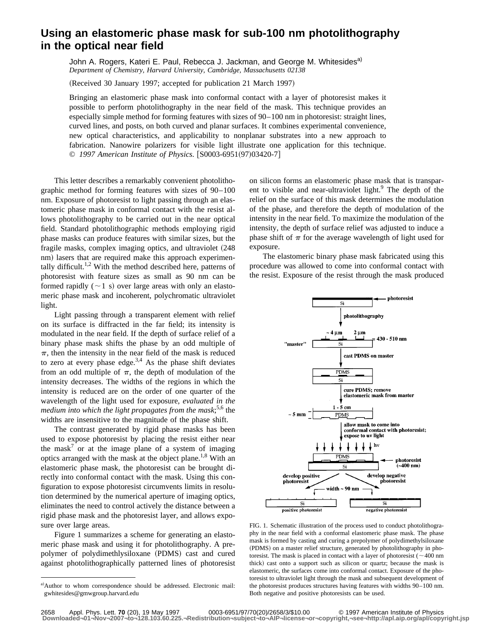## **Using an elastomeric phase mask for sub-100 nm photolithography in the optical near field**

John A. Rogers, Kateri E. Paul, Rebecca J. Jackman, and George M. Whitesides<sup>a)</sup> *Department of Chemistry, Harvard University, Cambridge, Massachusetts 02138*

(Received 30 January 1997; accepted for publication 21 March 1997)

Bringing an elastomeric phase mask into conformal contact with a layer of photoresist makes it possible to perform photolithography in the near field of the mask. This technique provides an especially simple method for forming features with sizes of 90–100 nm in photoresist: straight lines, curved lines, and posts, on both curved and planar surfaces. It combines experimental convenience, new optical characteristics, and applicability to nonplanar substrates into a new approach to fabrication. Nanowire polarizers for visible light illustrate one application for this technique. © 1997 American Institute of Physics. [S0003-6951(97)03420-7]

This letter describes a remarkably convenient photolithographic method for forming features with sizes of 90–100 nm. Exposure of photoresist to light passing through an elastomeric phase mask in conformal contact with the resist allows photolithography to be carried out in the near optical field. Standard photolithographic methods employing rigid phase masks can produce features with similar sizes, but the fragile masks, complex imaging optics, and ultraviolet (248 nm) lasers that are required make this approach experimentally difficult.<sup>1,2</sup> With the method described here, patterns of photoresist with feature sizes as small as 90 nm can be formed rapidly  $(\sim 1 \text{ s})$  over large areas with only an elastomeric phase mask and incoherent, polychromatic ultraviolet light.

Light passing through a transparent element with relief on its surface is diffracted in the far field; its intensity is modulated in the near field. If the depth of surface relief of a binary phase mask shifts the phase by an odd multiple of  $\pi$ , then the intensity in the near field of the mask is reduced to zero at every phase edge.<sup>3,4</sup> As the phase shift deviates from an odd multiple of  $\pi$ , the depth of modulation of the intensity decreases. The widths of the regions in which the intensity is reduced are on the order of one quarter of the wavelength of the light used for exposure, *evaluated in the medium into which the light propagates from the mask*; 5,6 the widths are insensitive to the magnitude of the phase shift.

The contrast generated by rigid phase masks has been used to expose photoresist by placing the resist either near the mask<sup>7</sup> or at the image plane of a system of imaging optics arranged with the mask at the object plane.<sup>1,8</sup> With an elastomeric phase mask, the photoresist can be brought directly into conformal contact with the mask. Using this configuration to expose photoresist circumvents limits in resolution determined by the numerical aperture of imaging optics, eliminates the need to control actively the distance between a rigid phase mask and the photoresist layer, and allows exposure over large areas.

Figure 1 summarizes a scheme for generating an elastomeric phase mask and using it for photolithography. A prepolymer of polydimethlysiloxane (PDMS) cast and cured against photolithographically patterned lines of photoresist on silicon forms an elastomeric phase mask that is transparent to visible and near-ultraviolet light.<sup>9</sup> The depth of the relief on the surface of this mask determines the modulation of the phase, and therefore the depth of modulation of the intensity in the near field. To maximize the modulation of the intensity, the depth of surface relief was adjusted to induce a phase shift of  $\pi$  for the average wavelength of light used for exposure.

The elastomeric binary phase mask fabricated using this procedure was allowed to come into conformal contact with the resist. Exposure of the resist through the mask produced



FIG. 1. Schematic illustration of the process used to conduct photolithography in the near field with a conformal elastomeric phase mask. The phase mask is formed by casting and curing a prepolymer of polydimethylsiloxane (PDMS) on a master relief structure, generated by photolithography in photoresist. The mask is placed in contact with a layer of photoresist ( $\sim$  400 nm thick) cast onto a support such as silicon or quartz; because the mask is elastomeric, the surfaces come into conformal contact. Exposure of the photoresist to ultraviolet light through the mask and subsequent development of the photoresist produces structures having features with widths 90–100 nm. Both negative and positive photoresists can be used.

a)Author to whom correspondence should be addressed. Electronic mail: gwhitesides@gmwgroup.harvard.edu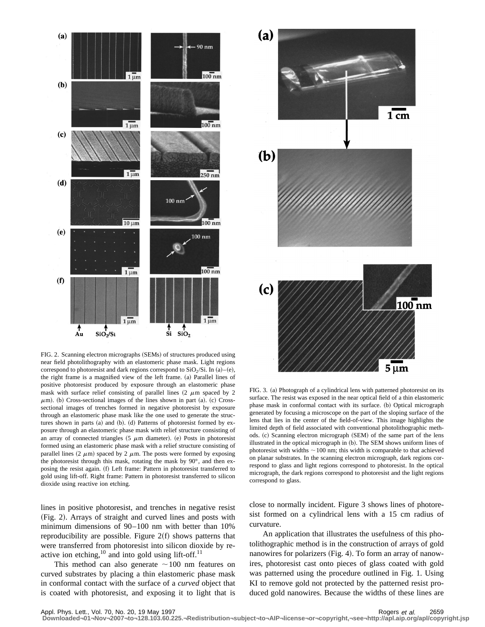

FIG. 2. Scanning electron micrographs (SEMs) of structures produced using near field photolithography with an elastomeric phase mask. Light regions correspond to photoresist and dark regions correspond to  $SiO<sub>2</sub>/Si$ . In (a)–(e), the right frame is a magnified view of the left frame. (a) Parallel lines of positive photoresist produced by exposure through an elastomeric phase mask with surface relief consisting of parallel lines  $(2 \mu m)$  spaced by 2  $\mu$ m). (b) Cross-sectional images of the lines shown in part (a). (c) Crosssectional images of trenches formed in negative photoresist by exposure through an elastomeric phase mask like the one used to generate the structures shown in parts  $(a)$  and  $(b)$ .  $(d)$  Patterns of photoresist formed by exposure through an elastomeric phase mask with relief structure consisting of an array of connected triangles  $(5 \mu m)$  diameter). (e) Posts in photoresist formed using an elastomeric phase mask with a relief structure consisting of parallel lines  $(2 \mu m)$  spaced by 2  $\mu$ m. The posts were formed by exposing the photoresist through this mask, rotating the mask by 90°, and then exposing the resist again. (f) Left frame: Pattern in photoresist transferred to gold using lift-off. Right frame: Pattern in photoresist transferred to silicon dioxide using reactive ion etching.

lines in positive photoresist, and trenches in negative resist (Fig. 2). Arrays of straight and curved lines and posts with minimum dimensions of 90–100 nm with better than 10% reproducibility are possible. Figure  $2(f)$  shows patterns that were transferred from photoresist into silicon dioxide by reactive ion etching,  $^{10}$  and into gold using lift-off.<sup>11</sup>

This method can also generate  $\sim$ 100 nm features on curved substrates by placing a thin elastomeric phase mask in conformal contact with the surface of a *curved* object that is coated with photoresist, and exposing it to light that is



FIG. 3. (a) Photograph of a cylindrical lens with patterned photoresist on its surface. The resist was exposed in the near optical field of a thin elastomeric phase mask in conformal contact with its surface. (b) Optical micrograph generated by focusing a microscope on the part of the sloping surface of the lens that lies in the center of the field-of-view. This image highlights the limited depth of field associated with conventional photolithographic methods. (c) Scanning electron micrograph (SEM) of the same part of the lens illustrated in the optical micrograph in (b). The SEM shows uniform lines of photoresist with widths  $\sim$  100 nm; this width is comparable to that achieved on planar substrates. In the scanning electron micrograph, dark regions correspond to glass and light regions correspond to photoresist. In the optical micrograph, the dark regions correspond to photoresist and the light regions correspond to glass.

close to normally incident. Figure 3 shows lines of photoresist formed on a cylindrical lens with a 15 cm radius of curvature.

An application that illustrates the usefulness of this photolithographic method is in the construction of arrays of gold nanowires for polarizers (Fig. 4). To form an array of nanowires, photoresist cast onto pieces of glass coated with gold was patterned using the procedure outlined in Fig. 1. Using KI to remove gold not protected by the patterned resist produced gold nanowires. Because the widths of these lines are